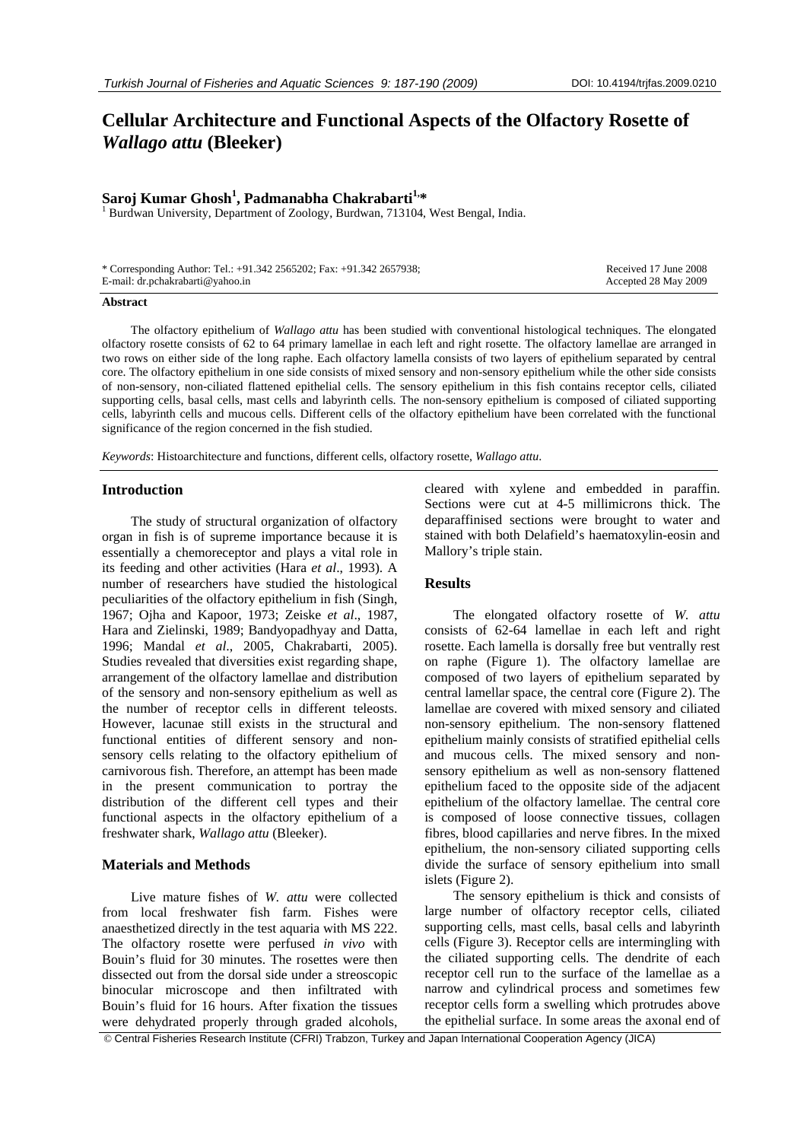# **Cellular Architecture and Functional Aspects of the Olfactory Rosette of**  *Wallago attu* **(Bleeker)**

# **Saroj Kumar Ghosh<sup>1</sup>, Padmanabha Chakrabarti<sup>1,\*</sup><br><sup>1</sup> Burduen University, Department of Zoology, Burduen, 712104**

<sup>1</sup> Burdwan University, Department of Zoology, Burdwan, 713104, West Bengal, India.

| * Corresponding Author: Tel.: +91.342 2565202; Fax: +91.342 2657938; | Received 17 June 2008 |
|----------------------------------------------------------------------|-----------------------|
| E-mail: dr.pchakrabarti@yahoo.in                                     | Accepted 28 May 2009  |

#### **Abstract**

The olfactory epithelium of *Wallago attu* has been studied with conventional histological techniques. The elongated olfactory rosette consists of 62 to 64 primary lamellae in each left and right rosette. The olfactory lamellae are arranged in two rows on either side of the long raphe. Each olfactory lamella consists of two layers of epithelium separated by central core. The olfactory epithelium in one side consists of mixed sensory and non-sensory epithelium while the other side consists of non-sensory, non-ciliated flattened epithelial cells. The sensory epithelium in this fish contains receptor cells, ciliated supporting cells, basal cells, mast cells and labyrinth cells. The non-sensory epithelium is composed of ciliated supporting cells, labyrinth cells and mucous cells. Different cells of the olfactory epithelium have been correlated with the functional significance of the region concerned in the fish studied.

*Keywords*: Histoarchitecture and functions, different cells, olfactory rosette, *Wallago attu*.

#### **Introduction**

The study of structural organization of olfactory organ in fish is of supreme importance because it is essentially a chemoreceptor and plays a vital role in its feeding and other activities (Hara *et al*., 1993). A number of researchers have studied the histological peculiarities of the olfactory epithelium in fish (Singh, 1967; Ojha and Kapoor, 1973; Zeiske *et al*., 1987, Hara and Zielinski, 1989; Bandyopadhyay and Datta, 1996; Mandal *et al*., 2005, Chakrabarti, 2005). Studies revealed that diversities exist regarding shape, arrangement of the olfactory lamellae and distribution of the sensory and non-sensory epithelium as well as the number of receptor cells in different teleosts. However, lacunae still exists in the structural and functional entities of different sensory and nonsensory cells relating to the olfactory epithelium of carnivorous fish. Therefore, an attempt has been made in the present communication to portray the distribution of the different cell types and their functional aspects in the olfactory epithelium of a freshwater shark, *Wallago attu* (Bleeker).

# **Materials and Methods**

Live mature fishes of *W. attu* were collected from local freshwater fish farm. Fishes were anaesthetized directly in the test aquaria with MS 222. The olfactory rosette were perfused *in vivo* with Bouin's fluid for 30 minutes. The rosettes were then dissected out from the dorsal side under a streoscopic binocular microscope and then infiltrated with Bouin's fluid for 16 hours. After fixation the tissues were dehydrated properly through graded alcohols, cleared with xylene and embedded in paraffin. Sections were cut at 4-5 millimicrons thick. The deparaffinised sections were brought to water and stained with both Delafield's haematoxylin-eosin and Mallory's triple stain.

# **Results**

The elongated olfactory rosette of *W. attu* consists of 62-64 lamellae in each left and right rosette. Each lamella is dorsally free but ventrally rest on raphe (Figure 1). The olfactory lamellae are composed of two layers of epithelium separated by central lamellar space, the central core (Figure 2). The lamellae are covered with mixed sensory and ciliated non-sensory epithelium. The non-sensory flattened epithelium mainly consists of stratified epithelial cells and mucous cells. The mixed sensory and nonsensory epithelium as well as non-sensory flattened epithelium faced to the opposite side of the adjacent epithelium of the olfactory lamellae. The central core is composed of loose connective tissues, collagen fibres, blood capillaries and nerve fibres. In the mixed epithelium, the non-sensory ciliated supporting cells divide the surface of sensory epithelium into small islets (Figure 2).

The sensory epithelium is thick and consists of large number of olfactory receptor cells, ciliated supporting cells, mast cells, basal cells and labyrinth cells (Figure 3). Receptor cells are intermingling with the ciliated supporting cells. The dendrite of each receptor cell run to the surface of the lamellae as a narrow and cylindrical process and sometimes few receptor cells form a swelling which protrudes above the epithelial surface. In some areas the axonal end of

© Central Fisheries Research Institute (CFRI) Trabzon, Turkey and Japan International Cooperation Agency (JICA)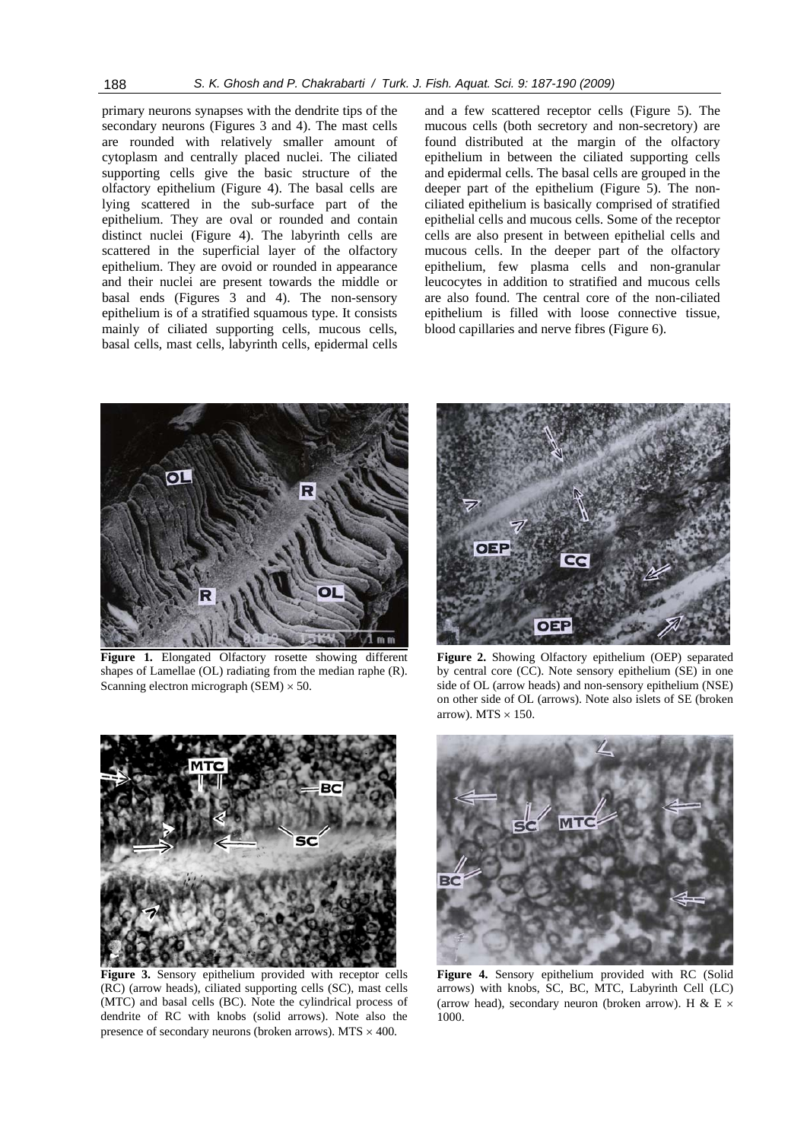primary neurons synapses with the dendrite tips of the secondary neurons (Figures 3 and 4). The mast cells are rounded with relatively smaller amount of cytoplasm and centrally placed nuclei. The ciliated supporting cells give the basic structure of the olfactory epithelium (Figure 4). The basal cells are lying scattered in the sub-surface part of the epithelium. They are oval or rounded and contain distinct nuclei (Figure 4). The labyrinth cells are scattered in the superficial layer of the olfactory epithelium. They are ovoid or rounded in appearance and their nuclei are present towards the middle or basal ends (Figures 3 and 4). The non-sensory epithelium is of a stratified squamous type. It consists mainly of ciliated supporting cells, mucous cells, basal cells, mast cells, labyrinth cells, epidermal cells

and a few scattered receptor cells (Figure 5). The mucous cells (both secretory and non-secretory) are found distributed at the margin of the olfactory epithelium in between the ciliated supporting cells and epidermal cells. The basal cells are grouped in the deeper part of the epithelium (Figure 5). The nonciliated epithelium is basically comprised of stratified epithelial cells and mucous cells. Some of the receptor cells are also present in between epithelial cells and mucous cells. In the deeper part of the olfactory epithelium, few plasma cells and non-granular leucocytes in addition to stratified and mucous cells are also found. The central core of the non-ciliated epithelium is filled with loose connective tissue, blood capillaries and nerve fibres (Figure 6).



**Figure 1.** Elongated Olfactory rosette showing different shapes of Lamellae (OL) radiating from the median raphe (R). Scanning electron micrograph  $(SEM) \times 50$ .



**Figure 2.** Showing Olfactory epithelium (OEP) separated by central core (CC). Note sensory epithelium (SE) in one side of OL (arrow heads) and non-sensory epithelium (NSE) on other side of OL (arrows). Note also islets of SE (broken arrow). MTS  $\times$  150.



**Figure 3.** Sensory epithelium provided with receptor cells (RC) (arrow heads), ciliated supporting cells (SC), mast cells (MTC) and basal cells (BC). Note the cylindrical process of dendrite of RC with knobs (solid arrows). Note also the presence of secondary neurons (broken arrows). MTS  $\times$  400.



**Figure 4.** Sensory epithelium provided with RC (Solid arrows) with knobs, SC, BC, MTC, Labyrinth Cell (LC) (arrow head), secondary neuron (broken arrow). H & E  $\times$ 1000.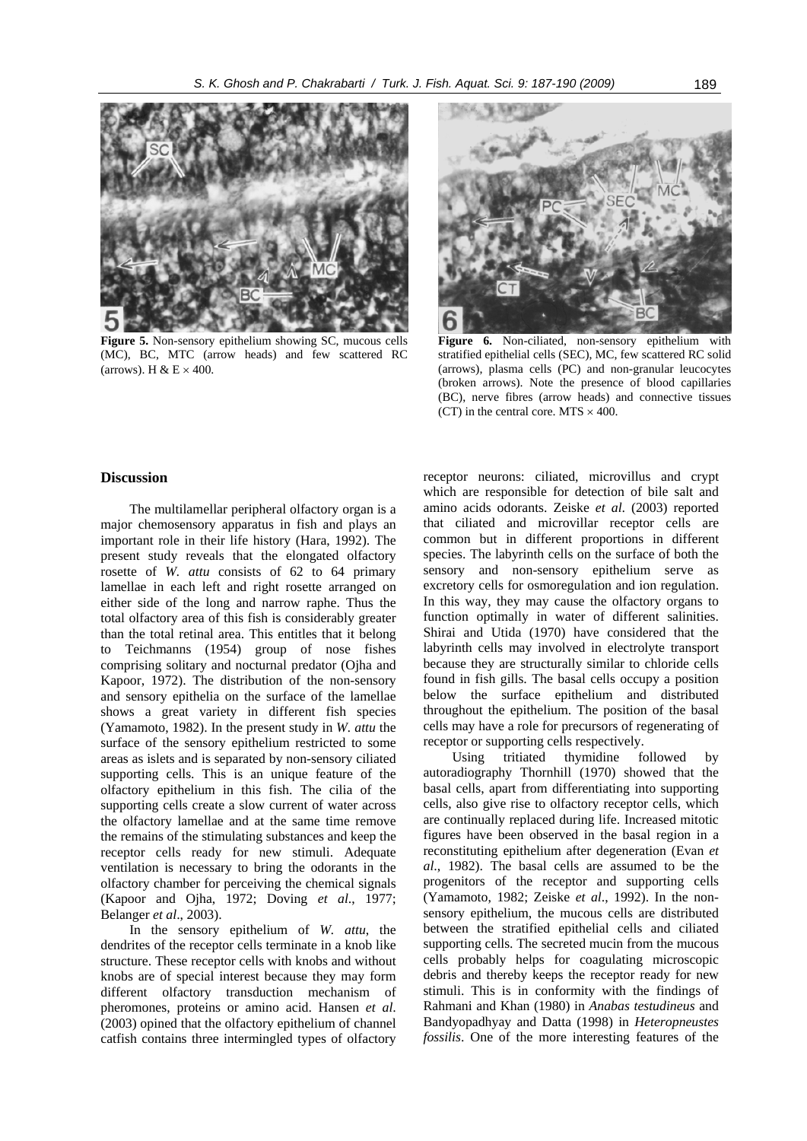

**Figure 5.** Non-sensory epithelium showing SC, mucous cells (MC), BC, MTC (arrow heads) and few scattered RC (arrows). H &  $E \times 400$ .



**Figure 6.** Non-ciliated, non-sensory epithelium with stratified epithelial cells (SEC), MC, few scattered RC solid (arrows), plasma cells (PC) and non-granular leucocytes (broken arrows). Note the presence of blood capillaries (BC), nerve fibres (arrow heads) and connective tissues (CT) in the central core. MTS  $\times$  400.

# **Discussion**

The multilamellar peripheral olfactory organ is a major chemosensory apparatus in fish and plays an important role in their life history (Hara, 1992). The present study reveals that the elongated olfactory rosette of *W. attu* consists of 62 to 64 primary lamellae in each left and right rosette arranged on either side of the long and narrow raphe. Thus the total olfactory area of this fish is considerably greater than the total retinal area. This entitles that it belong to Teichmanns (1954) group of nose fishes comprising solitary and nocturnal predator (Ojha and Kapoor, 1972). The distribution of the non-sensory and sensory epithelia on the surface of the lamellae shows a great variety in different fish species (Yamamoto, 1982). In the present study in *W. attu* the surface of the sensory epithelium restricted to some areas as islets and is separated by non-sensory ciliated supporting cells. This is an unique feature of the olfactory epithelium in this fish. The cilia of the supporting cells create a slow current of water across the olfactory lamellae and at the same time remove the remains of the stimulating substances and keep the receptor cells ready for new stimuli. Adequate ventilation is necessary to bring the odorants in the olfactory chamber for perceiving the chemical signals (Kapoor and Ojha, 1972; Doving *et al*., 1977; Belanger *et al*., 2003).

In the sensory epithelium of *W. attu*, the dendrites of the receptor cells terminate in a knob like structure. These receptor cells with knobs and without knobs are of special interest because they may form different olfactory transduction mechanism of pheromones, proteins or amino acid. Hansen *et al*. (2003) opined that the olfactory epithelium of channel catfish contains three intermingled types of olfactory receptor neurons: ciliated, microvillus and crypt which are responsible for detection of bile salt and amino acids odorants. Zeiske *et al*. (2003) reported that ciliated and microvillar receptor cells are common but in different proportions in different species. The labyrinth cells on the surface of both the sensory and non-sensory epithelium serve as excretory cells for osmoregulation and ion regulation. In this way, they may cause the olfactory organs to function optimally in water of different salinities. Shirai and Utida (1970) have considered that the labyrinth cells may involved in electrolyte transport because they are structurally similar to chloride cells found in fish gills. The basal cells occupy a position below the surface epithelium and distributed throughout the epithelium. The position of the basal cells may have a role for precursors of regenerating of receptor or supporting cells respectively.

Using tritiated thymidine followed by autoradiography Thornhill (1970) showed that the basal cells, apart from differentiating into supporting cells, also give rise to olfactory receptor cells, which are continually replaced during life. Increased mitotic figures have been observed in the basal region in a reconstituting epithelium after degeneration (Evan *et al*., 1982). The basal cells are assumed to be the progenitors of the receptor and supporting cells (Yamamoto, 1982; Zeiske *et al*., 1992). In the nonsensory epithelium, the mucous cells are distributed between the stratified epithelial cells and ciliated supporting cells. The secreted mucin from the mucous cells probably helps for coagulating microscopic debris and thereby keeps the receptor ready for new stimuli. This is in conformity with the findings of Rahmani and Khan (1980) in *Anabas testudineus* and Bandyopadhyay and Datta (1998) in *Heteropneustes fossilis*. One of the more interesting features of the